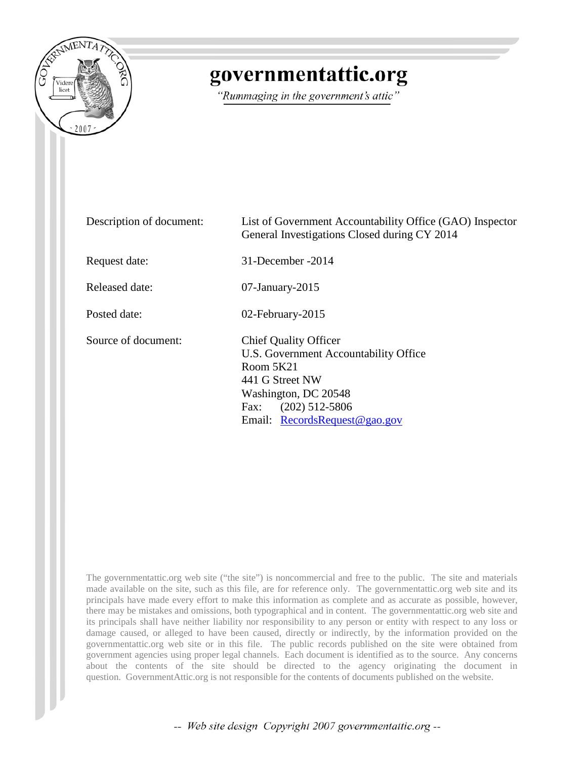

## governmentattic.org

"Rummaging in the government's attic"

| Description of document: | List of Government Accountability Office (GAO) Inspector<br>General Investigations Closed during CY 2014                                                                                     |
|--------------------------|----------------------------------------------------------------------------------------------------------------------------------------------------------------------------------------------|
| Request date:            | 31-December -2014                                                                                                                                                                            |
| Released date:           | $07$ -January- $2015$                                                                                                                                                                        |
| Posted date:             | 02-February-2015                                                                                                                                                                             |
| Source of document:      | <b>Chief Quality Officer</b><br>U.S. Government Accountability Office<br>Room 5K21<br>441 G Street NW<br>Washington, DC 20548<br>$(202)$ 512-5806<br>Fax:<br>Email: $RecordsRequest@gao.gov$ |

The governmentattic.org web site ("the site") is noncommercial and free to the public. The site and materials made available on the site, such as this file, are for reference only. The governmentattic.org web site and its principals have made every effort to make this information as complete and as accurate as possible, however, there may be mistakes and omissions, both typographical and in content. The governmentattic.org web site and its principals shall have neither liability nor responsibility to any person or entity with respect to any loss or damage caused, or alleged to have been caused, directly or indirectly, by the information provided on the governmentattic.org web site or in this file. The public records published on the site were obtained from government agencies using proper legal channels. Each document is identified as to the source. Any concerns about the contents of the site should be directed to the agency originating the document in question. GovernmentAttic.org is not responsible for the contents of documents published on the website.

-- Web site design Copyright 2007 governmentattic.org --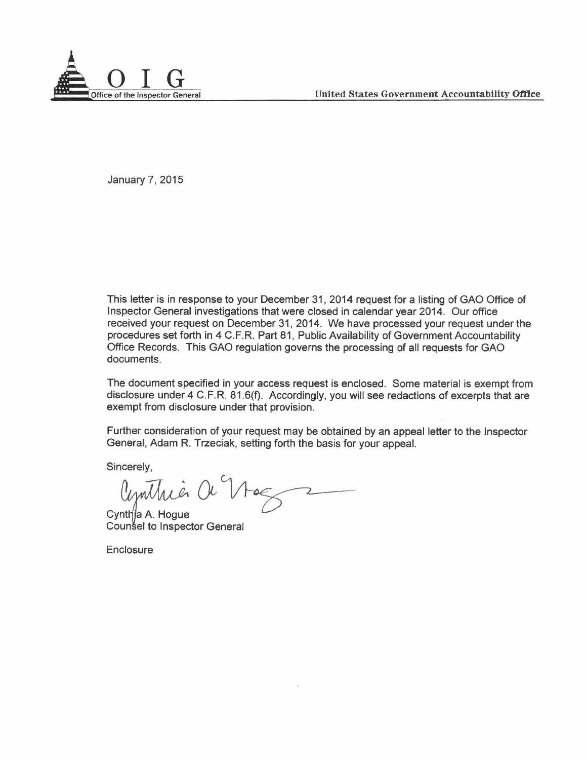

January 7, 2015

This letter is in response to your December 31, 2014 request for a listing of GAO Office of Inspector General investigations that were closed in calendar year 2014. Our office received your request on December 31, 2014. We have processed your request under the procedures set forth in 4 C.F.R. Part 81, Public Availability of Government Accountability Office Records. This GAO regulation governs the processing of all requests for GAO documents.

The document specified in your access request is enclosed. Some material is exempt from disclosure under 4 C.F.R. 81.6(f). Accordingly, you will see redactions of excerpts that are exempt from disclosure under that provision.

Further consideration of your request may be obtained by an appeal letter to the Inspector General, Adam R. Trzeciak, setting forth the basis for your appeal.

Sincerely,

Cemthia Or Nog tting forth the basis for your appeal.

a A.Hogue el to Inspector General

Enclosure